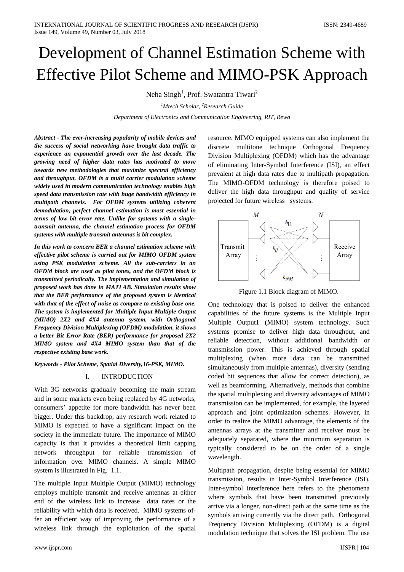# Development of Channel Estimation Scheme with Effective Pilot Scheme and MIMO-PSK Approach

Neha Singh<sup>1</sup>, Prof. Swatantra Tiwari<sup>2</sup>

*1 Mtech Scholar, 2 Research Guide*

*Department of Electronics and Communication Engineering, RIT, Rewa*

*Abstract - The ever-increasing popularity of mobile devices and the success of social networking have brought data traffic to experience an exponential growth over the last decade. The growing need of higher data rates has motivated to move towards new methodologies that maximize spectral efficiency and throughput. OFDM is a multi carrier modulation scheme widely used in modern communication technology enables high speed data transmission rate with huge bandwidth efficiency in multipath channels. For OFDM systems utilizing coherent demodulation, perfect channel estimation is most essential in terms of low bit error rate. Unlike for systems with a singletransmit antenna, the channel estimation process for OFDM systems with multiple transmit antennas is bit complex.*

*In this work to concern BER a channel estimation scheme with effective pilot scheme is carried out for MIMO OFDM system using PSK modulation scheme. All the sub-carriers in an OFDM block are used as pilot tones, and the OFDM block is transmitted periodically. The implementation and simulation of proposed work has done in MATLAB. Simulation results show that the BER performance of the proposed system is identical with that of the effect of noise as compare to existing base one. The system is implemented for Multiple Input Multiple Output (MIMO) 2X2 and 4X4 antenna system, with Orthogonal Frequency Division Multiplexing (OFDM) modulation, it shows a better Bit Error Rate (BER) performance for proposed 2X2 MIMO system and 4X4 MIMO system than that of the respective existing base work.*

*Keywords - Pilot Scheme, Spatial Diversity,16-PSK, MIMO.*

## I. INTRODUCTION

With 3G networks gradually becoming the main stream and in some markets even being replaced by 4G networks, consumers' appetite for more bandwidth has never been bigger. Under this backdrop, any research work related to MIMO is expected to have a significant impact on the society in the immediate future. The importance of MIMO capacity is that it provides a theoretical limit capping network throughput for reliable transmission of information over MIMO channels. A simple MIMO system is illustrated in Fig. 1.1.

The multiple Input Multiple Output (MIMO) technology employs multiple transmit and receive antennas at either end of the wireless link to increase data rates or the reliability with which data is received. MIMO systems offer an efficient way of improving the performance of a wireless link through the exploitation of the spatial

resource. MIMO equipped systems can also implement the discrete multitone technique Orthogonal Frequency Division Multiplexing (OFDM) which has the advantage of eliminating Inter-Symbol Interference (ISI), an effect prevalent at high data rates due to multipath propagation. The MIMO-OFDM technology is therefore poised to deliver the high data throughput and quality of service projected for future wireless systems.



Figure 1.1 Block diagram of MIMO.

One technology that is poised to deliver the enhanced capabilities of the future systems is the Multiple Input Multiple Output1 (MIMO) system technology. Such systems promise to deliver high data throughput, and reliable detection, without additional bandwidth or transmission power. This is achieved through spatial multiplexing (when more data can be transmitted simultaneously from multiple antennas), diversity (sending coded bit sequences that allow for correct detection), as well as beamforming. Alternatively, methods that combine the spatial multiplexing and diversity advantages of MIMO transmission can be implemented, for example, the layered approach and joint optimization schemes. However, in order to realize the MIMO advantage, the elements of the antennas arrays at the transmitter and receiver must be adequately separated, where the minimum separation is typically considered to be on the order of a single wavelength.

Multipath propagation, despite being essential for MIMO transmission, results in Inter-Symbol Interference (ISI). Inter-symbol interference here refers to the phenomena where symbols that have been transmitted previously arrive via a longer, non-direct path at the same time as the symbols arriving currently via the direct path. Orthogonal Frequency Division Multiplexing (OFDM) is a digital modulation technique that solves the ISI problem. The use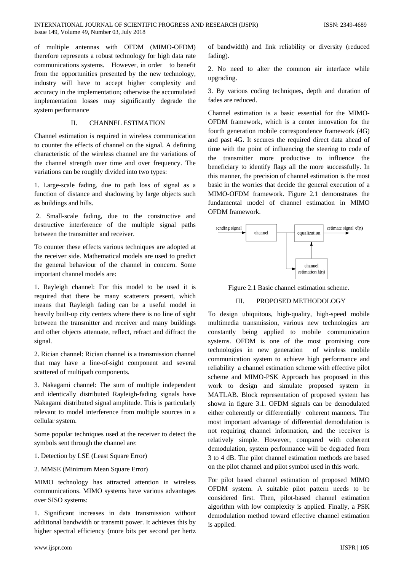of multiple antennas with OFDM (MIMO-OFDM) therefore represents a robust technology for high data rate communications systems. However, in order to benefit from the opportunities presented by the new technology, industry will have to accept higher complexity and accuracy in the implementation; otherwise the accumulated implementation losses may significantly degrade the system performance

## II. CHANNEL ESTIMATION

Channel estimation is required in wireless communication to counter the effects of channel on the signal. A defining characteristic of the wireless channel are the variations of the channel strength over time and over frequency. The variations can be roughly divided into two types:

1. Large-scale fading, due to path loss of signal as a function of distance and shadowing by large objects such as buildings and hills.

2. Small-scale fading, due to the constructive and destructive interference of the multiple signal paths between the transmitter and receiver.

To counter these effects various techniques are adopted at the receiver side. Mathematical models are used to predict the general behaviour of the channel in concern. Some important channel models are:

1. Rayleigh channel: For this model to be used it is required that there be many scatterers present, which means that Rayleigh fading can be a useful model in heavily built-up city centers where there is no line of sight between the transmitter and receiver and many buildings and other objects attenuate, reflect, refract and diffract the signal.

2. Rician channel: Rician channel is a transmission channel that may have a line-of-sight component and several scattered of multipath components.

3. Nakagami channel: The sum of multiple independent and identically distributed Rayleigh-fading signals have Nakagami distributed signal amplitude. This is particularly relevant to model interference from multiple sources in a cellular system.

Some popular techniques used at the receiver to detect the symbols sent through the channel are:

## 1. Detection by LSE (Least Square Error)

2. MMSE (Minimum Mean Square Error)

MIMO technology has attracted attention in wireless communications. MIMO systems have various advantages over SISO systems:

1. Significant increases in data transmission without additional bandwidth or transmit power. It achieves this by higher spectral efficiency (more bits per second per hertz

of bandwidth) and link reliability or diversity (reduced fading).

2. No need to alter the common air interface while upgrading.

3. By various coding techniques, depth and duration of fades are reduced.

Channel estimation is a basic essential for the MIMO-OFDM framework, which is a center innovation for the fourth generation mobile correspondence framework (4G) and past 4G. It secures the required direct data ahead of time with the point of influencing the steering to code of the transmitter more productive to influence the beneficiary to identify flags all the more successfully. In this manner, the precision of channel estimation is the most basic in the worries that decide the general execution of a MIMO-OFDM framework. Figure 2.1 demonstrates the fundamental model of channel estimation in MIMO OFDM framework.



Figure 2.1 Basic channel estimation scheme.

## III. PROPOSED METHODOLOGY

To design ubiquitous, high-quality, high-speed mobile multimedia transmission, various new technologies are constantly being applied to mobile communication systems. OFDM is one of the most promising core technologies in new generation of wireless mobile communication system to achieve high performance and reliability a channel estimation scheme with effective pilot scheme and MIMO-PSK Approach has proposed in this work to design and simulate proposed system in MATLAB. Block representation of proposed system has shown in figure 3.1. OFDM signals can be demodulated either coherently or differentially coherent manners. The most important advantage of differential demodulation is not requiring channel information, and the receiver is relatively simple. However, compared with coherent demodulation, system performance will be degraded from 3 to 4 dB. The pilot channel estimation methods are based on the pilot channel and pilot symbol used in this work.

For pilot based channel estimation of proposed MIMO OFDM system. A suitable pilot pattern needs to be considered first. Then, pilot-based channel estimation algorithm with low complexity is applied. Finally, a PSK demodulation method toward effective channel estimation is applied.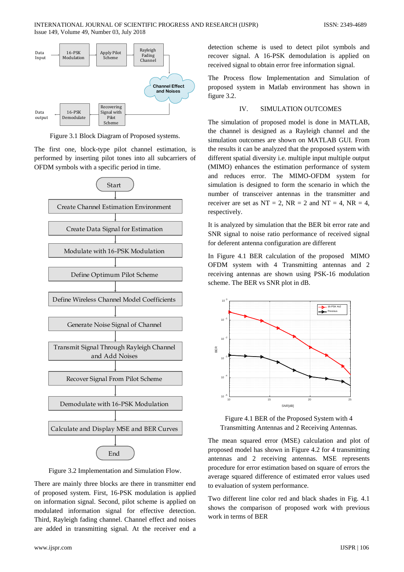

Figure 3.1 Block Diagram of Proposed systems.

The first one, block-type pilot channel estimation, is performed by inserting pilot tones into all subcarriers of OFDM symbols with a specific period in time.



Figure 3.2 Implementation and Simulation Flow.

There are mainly three blocks are there in transmitter end of proposed system. First, 16-PSK modulation is applied on information signal. Second, pilot scheme is applied on modulated information signal for effective detection. Third, Rayleigh fading channel. Channel effect and noises are added in transmitting signal. At the receiver end a

detection scheme is used to detect pilot symbols and recover signal. A 16-PSK demodulation is applied on received signal to obtain error free information signal.

The Process flow Implementation and Simulation of proposed system in Matlab environment has shown in figure 3.2.

#### IV. SIMULATION OUTCOMES

The simulation of proposed model is done in MATLAB, the channel is designed as a Rayleigh channel and the simulation outcomes are shown on MATLAB GUI. From the results it can be analyzed that the proposed system with different spatial diversity i.e. multiple input multiple output (MIMO) enhances the estimation performance of system and reduces error. The MIMO-OFDM system for simulation is designed to form the scenario in which the number of transceiver antennas in the transmitter and receiver are set as  $NT = 2$ ,  $NR = 2$  and  $NT = 4$ ,  $NR = 4$ , respectively.

It is analyzed by simulation that the BER bit error rate and SNR signal to noise ratio performance of received signal for deferent antenna configuration are different

In Figure 4.1 BER calculation of the proposed MIMO OFDM system with 4 Transmitting antennas and 2 receiving antennas are shown using PSK-16 modulation scheme. The BER vs SNR plot in dB.



Figure 4.1 BER of the Proposed System with 4 Transmitting Antennas and 2 Receiving Antennas.

The mean squared error (MSE) calculation and plot of proposed model has shown in Figure 4.2 for 4 transmitting antennas and 2 receiving antennas. MSE represents procedure for error estimation based on square of errors the average squared difference of estimated error values used to evaluation of system performance.

Two different line color red and black shades in Fig. 4.1 shows the comparison of proposed work with previous work in terms of BER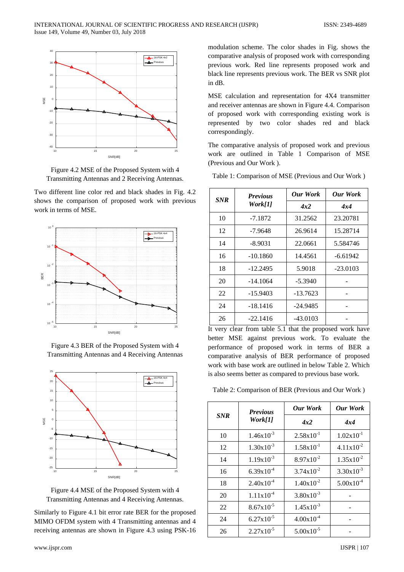

Figure 4.2 MSE of the Proposed System with 4 Transmitting Antennas and 2 Receiving Antennas.

Two different line color red and black shades in Fig. 4.2 shows the comparison of proposed work with previous work in terms of MSE.



Figure 4.3 BER of the Proposed System with 4 Transmitting Antennas and 4 Receiving Antennas



Figure 4.4 MSE of the Proposed System with 4 Transmitting Antennas and 4 Receiving Antennas.

Similarly to Figure 4.1 bit error rate BER for the proposed MIMO OFDM system with 4 Transmitting antennas and 4 receiving antennas are shown in Figure 4.3 using PSK-16 modulation scheme. The color shades in Fig. shows the comparative analysis of proposed work with corresponding previous work. Red line represents proposed work and black line represents previous work. The BER vs SNR plot in dB.

MSE calculation and representation for 4X4 transmitter and receiver antennas are shown in Figure 4.4. Comparison of proposed work with corresponding existing work is represented by two color shades red and black correspondingly.

The comparative analysis of proposed work and previous work are outlined in Table 1 Comparison of MSE (Previous and Our Work ).

Table 1: Comparison of MSE (Previous and Our Work )

| <b>SNR</b> | <b>Previous</b><br>Work[1] | <b>Our Work</b> | <b>Our Work</b> |
|------------|----------------------------|-----------------|-----------------|
|            |                            | 4x2             | 4x4             |
| 10         | $-7.1872$                  | 31.2562         | 23.20781        |
| 12         | -7.9648                    | 26.9614         | 15.28714        |
| 14         | $-8.9031$                  | 22.0661         | 5.584746        |
| 16         | $-10.1860$                 | 14.4561         | $-6.61942$      |
| 18         | $-12.2495$                 | 5.9018          | $-23.0103$      |
| 20         | $-14.1064$                 | $-5.3940$       |                 |
| 22         | $-15.9403$                 | $-13.7623$      |                 |
| 24         | $-18.1416$                 | $-24.9485$      |                 |
| 26         | $-22.1416$                 | $-43.0103$      |                 |

It very clear from table 5.1 that the proposed work have better MSE against previous work. To evaluate the performance of proposed work in terms of BER a comparative analysis of BER performance of proposed work with base work are outlined in below Table 2. Which is also seems better as compared to previous base work.

Table 2: Comparison of BER (Previous and Our Work )

| <b>SNR</b> | <b>Previous</b><br>Work[1] | <b>Our Work</b>       | <b>Our Work</b>       |
|------------|----------------------------|-----------------------|-----------------------|
|            |                            | 4x2                   | 4x4                   |
| 10         | $1.46x10^{-3}$             | $2.58 \times 10^{-1}$ | $1.02 \times 10^{-1}$ |
| 12         | $1.30x10^{-3}$             | $1.58 \times 10^{-1}$ | $4.11x10^{-2}$        |
| 14         | $1.19x10^{-3}$             | $8.97x10^{-2}$        | $1.35x10^{-2}$        |
| 16         | $6.39x10^{-4}$             | $3.74 \times 10^{-2}$ | $3.30x10^{-3}$        |
| 18         | $2.40 \times 10^{-4}$      | $1.40x10^{-2}$        | $5.00x10^{-4}$        |
| 20         | $1.11x10^{-4}$             | $3.80x10^{-3}$        |                       |
| 22         | $8.67x10^{-5}$             | $1.45x10^{-3}$        |                       |
| 24         | $6.27 \times 10^{-5}$      | $4.00x10^{-4}$        |                       |
| 26         | $2.27 \times 10^{-5}$      | $5.00 \times 10^{-5}$ |                       |